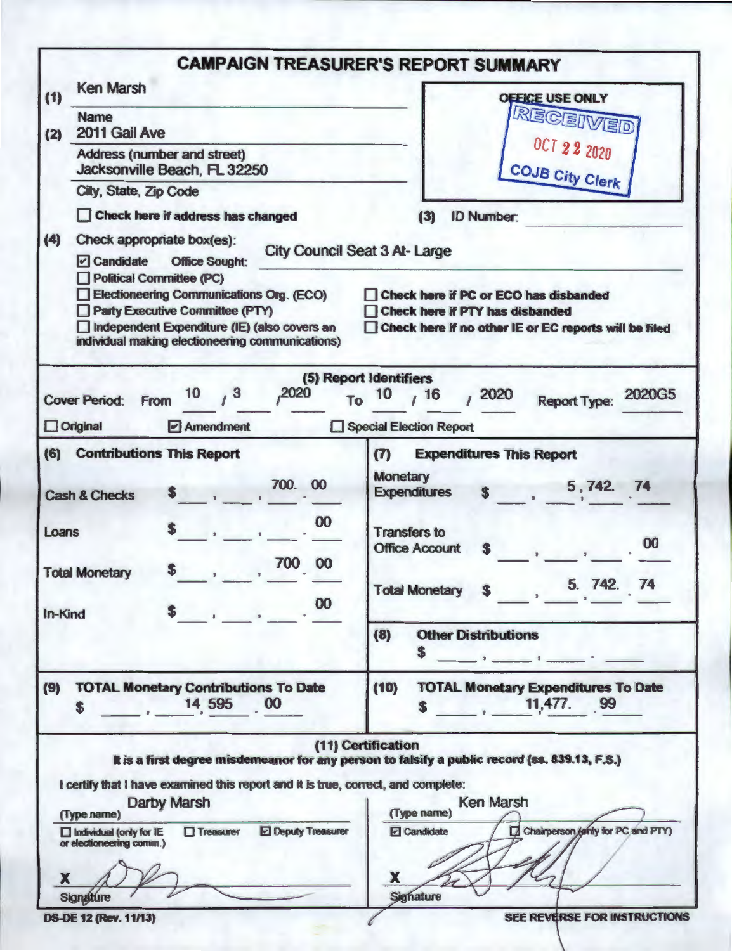|                                                                                                                                                                                                             | <b>CAMPAIGN TREASURER'S REPORT SUMMARY</b>                                                                                        |
|-------------------------------------------------------------------------------------------------------------------------------------------------------------------------------------------------------------|-----------------------------------------------------------------------------------------------------------------------------------|
| <b>Ken Marsh</b><br>(1)                                                                                                                                                                                     | <b>OFFICE USE ONLY</b>                                                                                                            |
| <b>Name</b><br>2011 Gail Ave                                                                                                                                                                                | RECEIVED                                                                                                                          |
| (2)<br>Address (number and street)<br>Jacksonville Beach, FL 32250                                                                                                                                          | <b>OCT 22 2020</b>                                                                                                                |
| City, State, Zip Code                                                                                                                                                                                       | <b>COJB City Clerk</b>                                                                                                            |
| Check here if address has changed                                                                                                                                                                           | <b>ID Number:</b><br>(3)                                                                                                          |
| (4)<br>Check appropriate box(es):<br>$\triangleright$ Candidate<br><b>Office Sought:</b>                                                                                                                    | <b>City Council Seat 3 At-Large</b>                                                                                               |
| Political Committee (PC)<br>Electioneering Communications Org. (ECO)<br>Party Executive Committee (PTY)<br>Independent Expenditure (IE) (also covers an<br>individual making electioneering communications) | Check here if PC or ECO has disbanded<br>Check here if PTY has disbanded<br>Check here if no other IE or EC reports will be filed |
| 10<br>3<br>,2020<br><b>Cover Period:</b><br><b>From</b><br>To                                                                                                                                               | (5) Report Identifiers<br>2020G5<br>16<br>2020<br>10<br><b>Report Type:</b>                                                       |
| $\Box$ Original<br>$\triangleright$ Amendment                                                                                                                                                               | Special Election Report                                                                                                           |
| (6)<br><b>Contributions This Report</b>                                                                                                                                                                     | <b>Expenditures This Report</b><br>(7)                                                                                            |
| 700.<br>00<br><b>Cash &amp; Checks</b>                                                                                                                                                                      | <b>Monetary</b><br>5,742. 74<br><b>Expenditures</b>                                                                               |
| 00<br>Loans                                                                                                                                                                                                 | <b>Transfers to</b><br>00<br><b>Office Account</b><br>S                                                                           |
| 700 00<br><b>Total Monetary</b><br>00<br>In-Kind                                                                                                                                                            | Total Monetary \$1, 5. 742. 74                                                                                                    |
|                                                                                                                                                                                                             | <b>Other Distributions</b><br>(8)                                                                                                 |
| (9)<br><b>TOTAL Monetary Contributions To Date</b><br>14 595 00<br>S.                                                                                                                                       | (10)<br><b>TOTAL Monetary Expenditures To Date</b><br>11,477. 99<br>S                                                             |
|                                                                                                                                                                                                             | (11) Certification<br>It is a first degree misdemeanor for any person to falsify a public record (ss. 839.13, F.S.)               |
| I certify that I have examined this report and it is true, correct, and complete:<br><b>Darby Marsh</b><br>(Type name)                                                                                      | <b>Ken Marsh</b><br>(Type name)                                                                                                   |
| <b>Deputy Treasurer</b><br>$\Box$ Treasurer<br>$\Box$ Individual (only for IE<br>or electioneering comm.)                                                                                                   | Chairperson / only for PC and PTY)<br>$\Box$ Candidate                                                                            |
| X                                                                                                                                                                                                           | x                                                                                                                                 |
| Signature<br><b>DS-DE 12 (Rev. 11/13)</b>                                                                                                                                                                   | <b>Signature</b><br>SEE REVERSE FOR INSTRUCTIONS                                                                                  |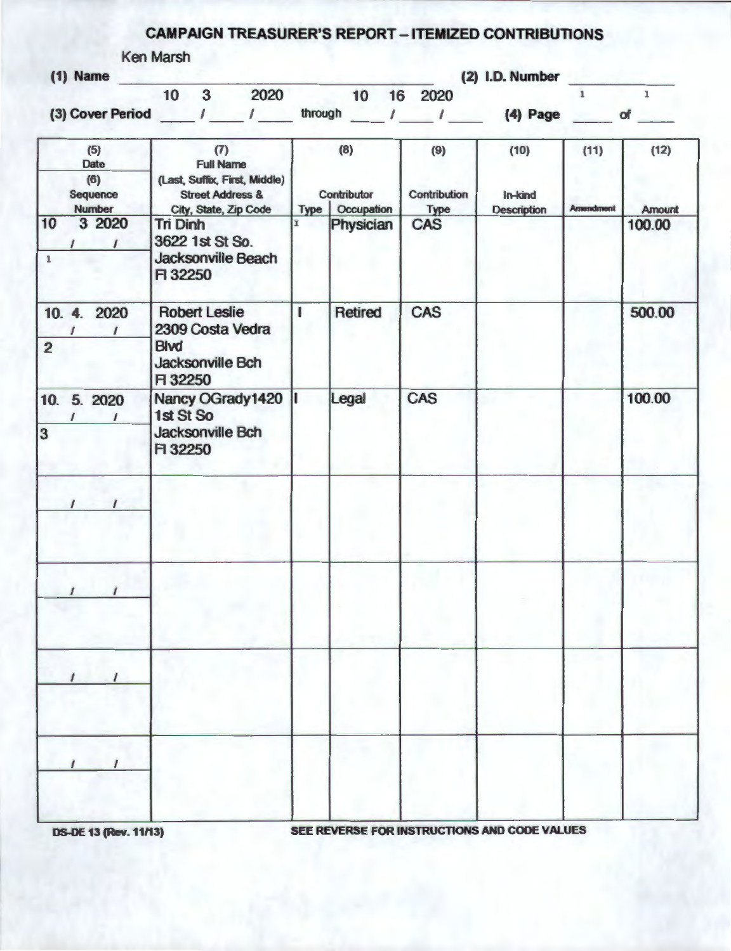## **CAMPAIGN** TREASURER'S REPORT - ITEMIZED CONTRIBUTIONS

|  | Ken Marsh |
|--|-----------|
|  |           |

| Ken Marsh        |    |   |      |         |    |    |      |                 |  |
|------------------|----|---|------|---------|----|----|------|-----------------|--|
| $(1)$ Name       |    |   |      |         |    |    |      | (2) I.D. Number |  |
|                  | 10 | 3 | 2020 |         | 10 | 16 | 2020 |                 |  |
| (3) Cover Period |    |   |      | through |    |    |      | $(4)$ Page      |  |
|                  |    |   |      |         |    |    |      |                 |  |

|                    | (5)<br>Date<br>(6)<br>Sequence | (7)<br><b>Full Name</b><br>(Last, Suffix, First, Middle)<br><b>Street Address &amp;</b>      |   | (8)<br>Contributor             | (9)<br>Contribution | (10)<br>In-kind    | (11)             | (12)                    |
|--------------------|--------------------------------|----------------------------------------------------------------------------------------------|---|--------------------------------|---------------------|--------------------|------------------|-------------------------|
| 10<br>$\mathbf{1}$ | <b>Number</b><br>3 2020        | City, State, Zip Code<br><b>Tri Dinh</b><br>3622 1st St So.<br>Jacksonville Beach<br>F 32250 |   | Type   Occupation<br>Physician | <b>Type</b><br>CAS  | <b>Description</b> | <b>Amendment</b> | <b>Amount</b><br>100.00 |
| $\overline{2}$     | 10. 4. 2020                    | <b>Robert Leslie</b><br>2309 Costa Vedra<br><b>Blvd</b><br>Jacksonville Bch<br>F 32250       | ı | <b>Retired</b>                 | <b>CAS</b>          |                    |                  | 500.00                  |
| 3                  | 10. 5. 2020                    | Nancy OGrady1420<br>1st St So<br>Jacksonville Bch<br>F 32250                                 |   | Legal                          | <b>CAS</b>          |                    |                  | 100.00                  |
|                    | $\prime$<br>$\prime$           |                                                                                              |   |                                |                     |                    |                  |                         |
|                    | $\prime$                       |                                                                                              |   |                                |                     |                    |                  |                         |
|                    |                                |                                                                                              |   |                                |                     |                    |                  |                         |
|                    |                                |                                                                                              |   |                                |                     |                    |                  |                         |

OS-OE **13 (Rev. 11/13)** SEE REVERSE FOR INSTRUCTIONS AND CODE **VALUES**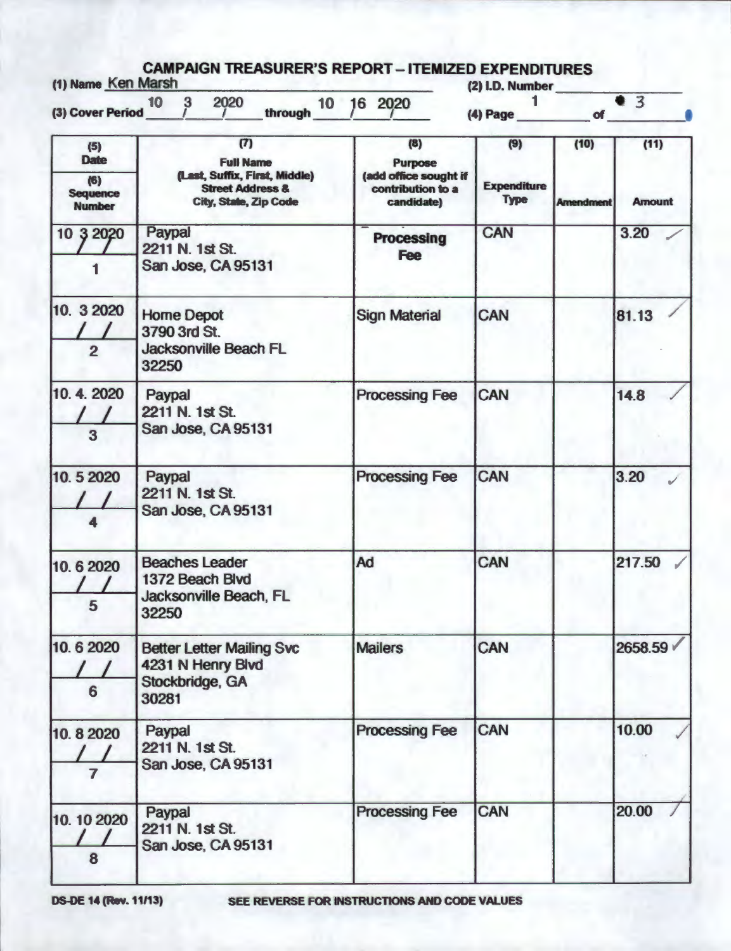| (1) Name Ken Marsh                      | 2020<br>10<br>$\mathbf{3}$                                                            | 10 16 2020                                               | (2) I.D. Number                   | 93                          |               |  |
|-----------------------------------------|---------------------------------------------------------------------------------------|----------------------------------------------------------|-----------------------------------|-----------------------------|---------------|--|
| (3) Cover Period                        | through                                                                               |                                                          | $(4)$ Page                        | $\overline{\phantom{a}}$ of |               |  |
| (5)<br><b>Date</b>                      | (7)<br><b>Full Name</b>                                                               | (8)<br>Purpose                                           | (9)                               | (10)                        | (11)          |  |
| (6)<br><b>Sequence</b><br><b>Number</b> | (Last, Suffix, First, Middle)<br><b>Street Address &amp;</b><br>City, State, Zip Code | (add office sought if<br>contribution to a<br>candidate) | <b>Expenditure</b><br><b>Type</b> | <b>Amendment</b>            | <b>Amount</b> |  |
| 10 3 2020                               | Paypal<br>2211 N. 1st St.                                                             | <b>Processing</b><br><b>Fee</b>                          | <b>CAN</b>                        |                             | 3.20          |  |
|                                         | San Jose, CA 95131                                                                    |                                                          |                                   |                             |               |  |
| 10. 3 2020<br>$\overline{2}$            | <b>Home Depot</b><br>3790 3rd St.<br><b>Jacksonville Beach FL</b>                     | <b>Sign Material</b>                                     | CAN                               |                             | 81.13         |  |
|                                         | 32250                                                                                 |                                                          |                                   |                             |               |  |
| 10.4.2020<br>3                          | Paypal<br>2211 N. 1st St.<br>San Jose, CA 95131                                       | <b>Processing Fee</b>                                    | CAN                               |                             | 14.8          |  |
| 10.52020                                | Paypal<br>2211 N. 1st St.<br>San Jose, CA 95131                                       | <b>Processing Fee</b>                                    | CAN                               |                             | 3.20          |  |
| 10.62020<br>5                           | <b>Beaches Leader</b><br>1372 Beach Blvd<br>Jacksonville Beach, FL<br>32250           | Ad                                                       | CAN                               |                             | 217.50        |  |
| 10.62020<br>6                           | <b>Better Letter Mailing Svc</b><br>4231 N Henry Blvd<br>Stockbridge, GA<br>30281     | <b>Mailers</b>                                           | CAN                               |                             | 2658.59 V     |  |
| 10.82020<br>7                           | Paypal<br>2211 N. 1st St.<br>San Jose, CA 95131                                       | <b>Processing Fee</b>                                    | <b>CAN</b>                        |                             | 10.00         |  |
| 10. 10 2020<br>8                        | Paypal<br>2211 N. 1st St.<br>San Jose, CA 95131                                       | <b>Processing Fee</b>                                    | CAN                               |                             | 20.00         |  |

OS-OE **14 (Rev.** 11113) SEE REVERSE FOR INSTRUCTIONS AND CODE VALUES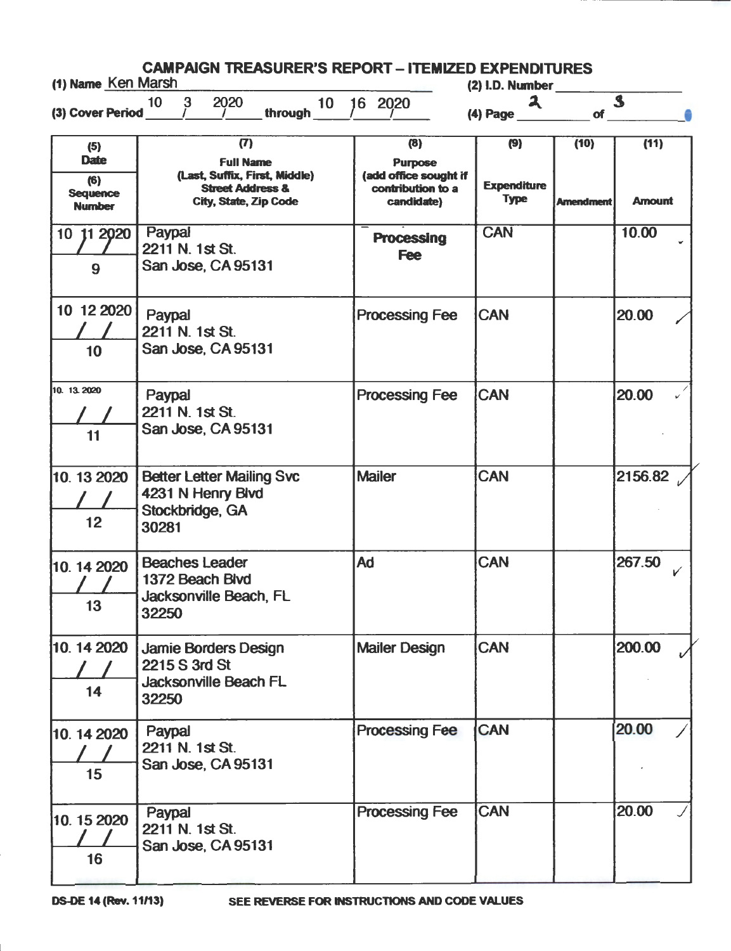| (1) Name Ken Marsh                                            | <b>CAMPAIGN TREASURER'S REPORT - ITEMIZED EXPENDITURES</b>                                                              |                                                                                   | $(2)$ I.D. Number                        |                          |                       |  |  |
|---------------------------------------------------------------|-------------------------------------------------------------------------------------------------------------------------|-----------------------------------------------------------------------------------|------------------------------------------|--------------------------|-----------------------|--|--|
| (3) Cover Period                                              | 2020<br>3<br>10<br>10 <sup>1</sup><br>through                                                                           | 16 2020                                                                           | $\mathbf{a}$<br>(4) Page                 | of                       | $\mathbf{s}$          |  |  |
| (5)<br><b>Date</b><br>(6)<br><b>Sequence</b><br><b>Number</b> | (T)<br><b>Full Name</b><br>(Last, Suffix, First, Middle)<br><b>Street Address &amp;</b><br><b>City, State, Zip Code</b> | (8)<br><b>Purpose</b><br>(add office sought if<br>contribution to a<br>candidate) | (9)<br><b>Expenditure</b><br><b>Type</b> | (10)<br><b>Amendment</b> | (11)<br><b>Amount</b> |  |  |
| 10 11 2020<br>9                                               | Paypal<br>2211 N. 1st St.<br>San Jose, CA 95131                                                                         | <b>Processing</b><br><b>Fee</b>                                                   | <b>CAN</b>                               |                          | 10.00                 |  |  |
| 10 12 2020<br>10                                              | Paypal<br>2211 N. 1st St.<br>San Jose, CA 95131                                                                         | <b>Processing Fee</b>                                                             | <b>CAN</b>                               |                          | 20.00                 |  |  |
| 10. 13.2020<br>11                                             | Paypal<br>2211 N. 1st St.<br>San Jose, CA 95131                                                                         | <b>Processing Fee</b>                                                             | <b>CAN</b>                               |                          | 20.00                 |  |  |
| 10.13 2020<br>12                                              | <b>Better Letter Mailing Svc</b><br>4231 N Henry Blvd<br>Stockbridge, GA<br>30281                                       | <b>Mailer</b>                                                                     | CAN                                      |                          | 2156.82               |  |  |
| 10.14 2020<br>13                                              | <b>Beaches Leader</b><br>1372 Beach Blvd<br>Jacksonville Beach. FL<br>32250                                             | Ad                                                                                | <b>CAN</b>                               |                          | 267.50<br>V           |  |  |
| 10.142020<br>14                                               | Jamie Borders Design<br>2215 S 3rd St<br><b>Jacksonville Beach FL</b><br>32250                                          | <b>Mailer Design</b>                                                              | <b>CAN</b>                               |                          | 200.00                |  |  |
| 10.14 2020<br>15                                              | Paypal<br>2211 N. 1st St.<br>San Jose, CA 95131                                                                         | <b>Processing Fee</b>                                                             | <b>CAN</b>                               |                          | 20.00                 |  |  |
| 10.15 2020<br>16                                              | Paypal<br>2211 N. 1st St.<br>San Jose, CA 95131                                                                         | <b>Processing Fee</b>                                                             | <b>CAN</b>                               |                          | 20.00                 |  |  |